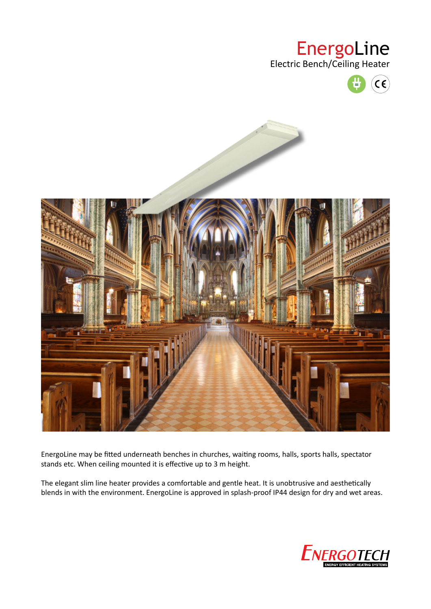## EnergoLine

Electric Bench/Ceiling Heater





EnergoLine may be fitted underneath benches in churches, waiting rooms, halls, sports halls, spectator stands etc. When ceiling mounted it is effective up to 3 m height.

The elegant slim line heater provides a comfortable and gentle heat. It is unobtrusive and aesthetically blends in with the environment. EnergoLine is approved in splash-proof IP44 design for dry and wet areas.